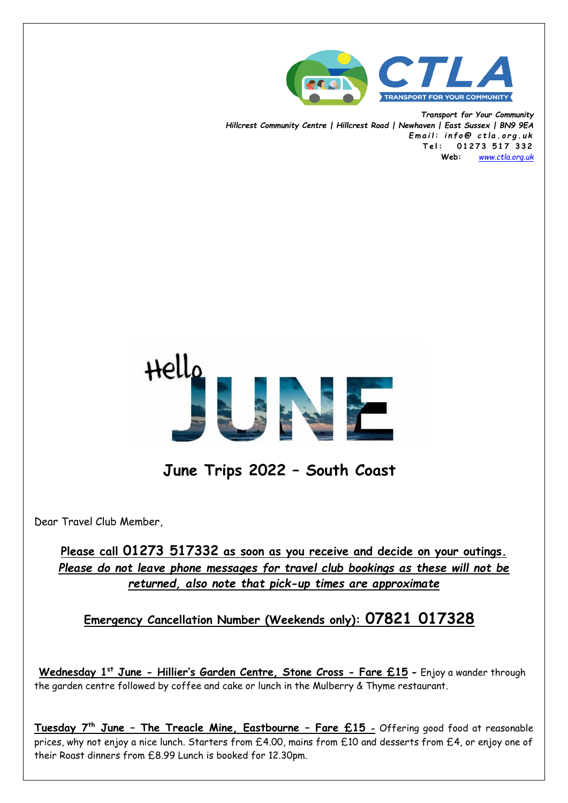

*Transport for Your Community Hillcrest Community Centre | Hillcrest Road | Newhaven | East Sussex | BN9 9EA E m a i l : i n f o @ c t l a . o r g . u k* **T e l : 0 1 2 7 3 5 1 7 3 3 2 Web:** *[www.ctla.org.uk](http://www.ctla.co.uk/)*



**June Trips 2022 – South Coast**

Dear Travel Club Member,

**Please call 01273 517332 as soon as you receive and decide on your outings.** *Please do not leave phone messages for travel club bookings as these will not be returned, also note that pick-up times are approximate*

 **Emergency Cancellation Number (Weekends only): 07821 017328**

**Wednesday 1st June - Hillier's Garden Centre, Stone Cross - Fare £15 -** Enjoy a wander through the garden centre followed by coffee and cake or lunch in the Mulberry & Thyme restaurant.

**Tuesday 7th June – The Treacle Mine, Eastbourne – Fare £15 -** Offering good food at reasonable prices, why not enjoy a nice lunch. Starters from £4.00, mains from £10 and desserts from £4, or enjoy one of their Roast dinners from £8.99 Lunch is booked for 12.30pm.